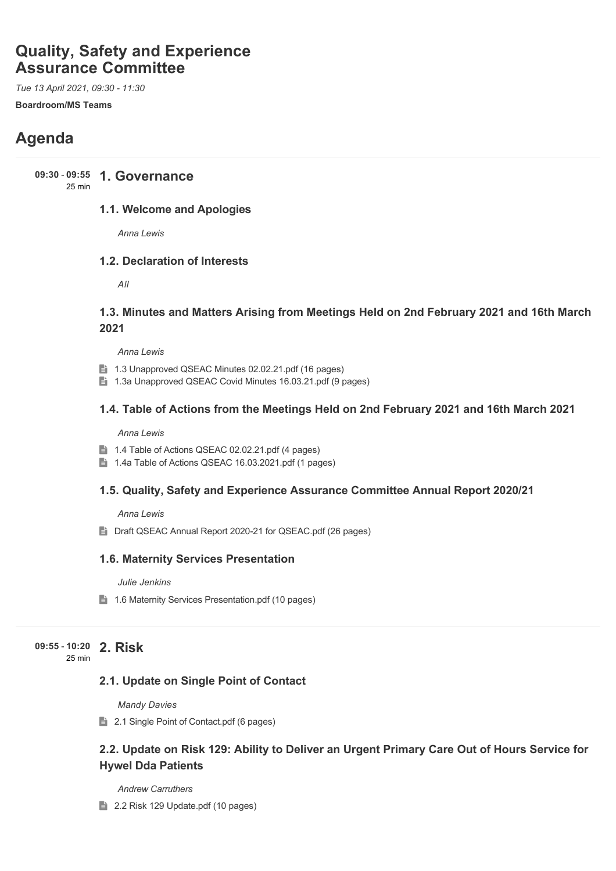# **Quality, Safety and Experience Assurance Committee**

*Tue 13 April 2021, 09:30 - 11:30*

**Boardroom/MS Teams**

# **Agenda**

**1. Governance 09:30** - **09:55**

#### 25 min

# **1.1. Welcome and Apologies**

*Anna Lewis*

# **1.2. Declaration of Interests**

*All*

# **1.3. Minutes and Matters Arising from Meetings Held on 2nd February 2021 and 16th March 2021**

*Anna Lewis*

- **1.3 Unapproved QSEAC Minutes 02.02.21.pdf (16 pages)**
- 1.3a Unapproved QSEAC Covid Minutes 16.03.21.pdf (9 pages)

# **1.4. Table of Actions from the Meetings Held on 2nd February 2021 and 16th March 2021**

*Anna Lewis*

- 1.4 Table of Actions QSEAC 02.02.21.pdf (4 pages)
- 1.4a Table of Actions QSEAC 16.03.2021.pdf (1 pages)

# **1.5. Quality, Safety and Experience Assurance Committee Annual Report 2020/21**

*Anna Lewis*

■ Draft QSEAC Annual Report 2020-21 for QSEAC.pdf (26 pages)

# **1.6. Maternity Services Presentation**

*Julie Jenkins*

1.6 Maternity Services Presentation.pdf (10 pages)

**2. Risk 09:55** - **10:20**

25 min

# **2.1. Update on Single Point of Contact**

*Mandy Davies*

**2.1 Single Point of Contact.pdf (6 pages)** 

# **2.2. Update on Risk 129: Ability to Deliver an Urgent Primary Care Out of Hours Service for Hywel Dda Patients**

*Andrew Carruthers*

2.2 Risk 129 Update.pdf (10 pages)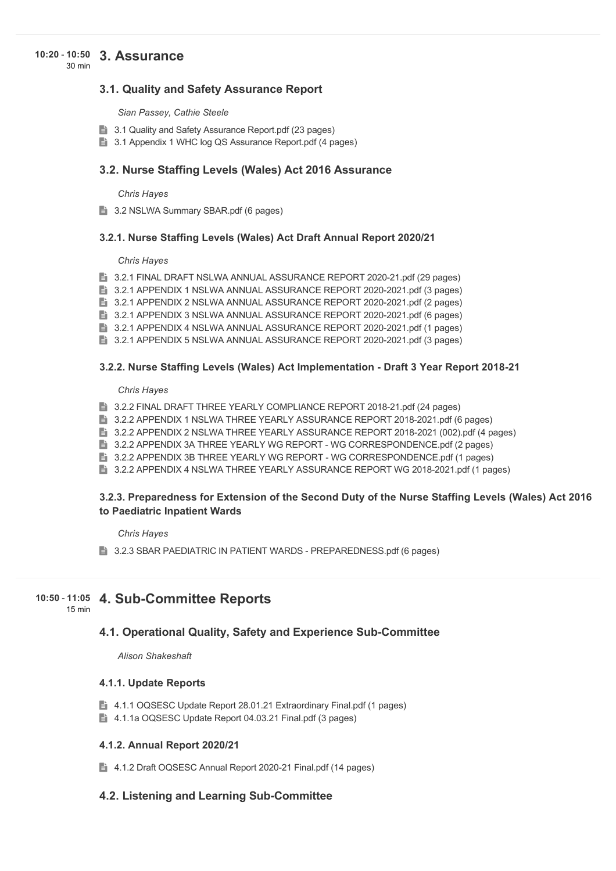#### **3. Assurance 10:20** - **10:50** 30 min

## **3.1. Quality and Safety Assurance Report**

*Sian Passey, Cathie Steele*

- **3.1 Quality and Safety Assurance Report.pdf (23 pages)**
- 3.1 Appendix 1 WHC log QS Assurance Report.pdf (4 pages)

### **3.2. Nurse Staffing Levels (Wales) Act 2016 Assurance**

*Chris Hayes*

3.2 NSLWA Summary SBAR.pdf (6 pages)

#### **3.2.1. Nurse Staffing Levels (Wales) Act Draft Annual Report 2020/21**

#### *Chris Hayes*

**3.2.1 FINAL DRAFT NSLWA ANNUAL ASSURANCE REPORT 2020-21.pdf (29 pages)** 

**1** 3.2.1 APPENDIX 1 NSLWA ANNUAL ASSURANCE REPORT 2020-2021.pdf (3 pages)

**E** 3.2.1 APPENDIX 2 NSLWA ANNUAL ASSURANCE REPORT 2020-2021.pdf (2 pages)

**3.2.1 APPENDIX 3 NSLWA ANNUAL ASSURANCE REPORT 2020-2021.pdf (6 pages)** 

**3.2.1 APPENDIX 4 NSLWA ANNUAL ASSURANCE REPORT 2020-2021.pdf (1 pages)** 

**3.2.1 APPENDIX 5 NSLWA ANNUAL ASSURANCE REPORT 2020-2021.pdf (3 pages)** 

#### **3.2.2. Nurse Staffing Levels (Wales) Act Implementation - Draft 3 Year Report 2018-21**

#### *Chris Hayes*

**3.2.2 FINAL DRAFT THREE YEARLY COMPLIANCE REPORT 2018-21.pdf (24 pages)** 

- **3.2.2 APPENDIX 1 NSLWA THREE YEARLY ASSURANCE REPORT 2018-2021.pdf (6 pages)**
- **3.2.2 APPENDIX 2 NSLWA THREE YEARLY ASSURANCE REPORT 2018-2021 (002).pdf (4 pages)**
- **1** 3.2.2 APPENDIX 3A THREE YEARLY WG REPORT WG CORRESPONDENCE.pdf (2 pages)
- **3.2.2 APPENDIX 3B THREE YEARLY WG REPORT WG CORRESPONDENCE.pdf (1 pages)**

**3.2.2 APPENDIX 4 NSLWA THREE YEARLY ASSURANCE REPORT WG 2018-2021.pdf (1 pages)** 

## **3.2.3. Preparedness for Extension of the Second Duty of the Nurse Staffing Levels (Wales) Act 2016 to Paediatric Inpatient Wards**

*Chris Hayes*

**B** 3.2.3 SBAR PAEDIATRIC IN PATIENT WARDS - PREPAREDNESS.pdf (6 pages)

#### **4. Sub-Committee Reports 10:50** - **11:05** 15 min

# **4.1. Operational Quality, Safety and Experience Sub-Committee**

*Alison Shakeshaft*

#### **4.1.1. Update Reports**

- 4.1.1 OQSESC Update Report 28.01.21 Extraordinary Final.pdf (1 pages)
- 4.1.1a OQSESC Update Report 04.03.21 Final.pdf (3 pages)

#### **4.1.2. Annual Report 2020/21**

■ 4.1.2 Draft OQSESC Annual Report 2020-21 Final.pdf (14 pages)

## **4.2. Listening and Learning Sub-Committee**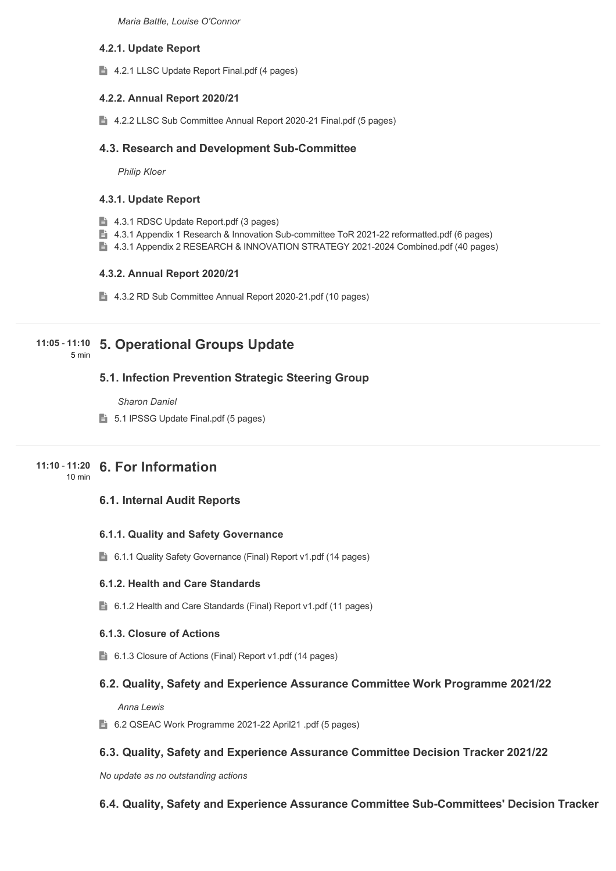*Maria Battle, Louise O'Connor*

## **4.2.1. Update Report**

4.2.1 LLSC Update Report Final.pdf (4 pages)

## **4.2.2. Annual Report 2020/21**

4.2.2 LLSC Sub Committee Annual Report 2020-21 Final.pdf (5 pages)

## **4.3. Research and Development Sub-Committee**

*Philip Kloer*

#### **4.3.1. Update Report**

- 4.3.1 RDSC Update Report.pdf (3 pages)
- 4.3.1 Appendix 1 Research & Innovation Sub-committee ToR 2021-22 reformatted.pdf (6 pages)
- 4.3.1 Appendix 2 RESEARCH & INNOVATION STRATEGY 2021-2024 Combined.pdf (40 pages)

## **4.3.2. Annual Report 2020/21**

4.3.2 RD Sub Committee Annual Report 2020-21.pdf (10 pages)

# **5. Operational Groups Update 11:05** - **11:10**

5 min

# **5.1. Infection Prevention Strategic Steering Group**

*Sharon Daniel*

5.1 IPSSG Update Final.pdf (5 pages)

# **6. For Information 11:10** - **11:20**

10 min

# **6.1. Internal Audit Reports**

## **6.1.1. Quality and Safety Governance**

6.1.1 Quality Safety Governance (Final) Report v1.pdf (14 pages)

## **6.1.2. Health and Care Standards**

6.1.2 Health and Care Standards (Final) Report v1.pdf (11 pages)

## **6.1.3. Closure of Actions**

■ 6.1.3 Closure of Actions (Final) Report v1.pdf (14 pages)

# **6.2. Quality, Safety and Experience Assurance Committee Work Programme 2021/22**

*Anna Lewis*

6.2 QSEAC Work Programme 2021-22 April21 .pdf (5 pages)

# **6.3. Quality, Safety and Experience Assurance Committee Decision Tracker 2021/22**

*No update as no outstanding actions* 

# **6.4. Quality, Safety and Experience Assurance Committee Sub-Committees' Decision Tracker**